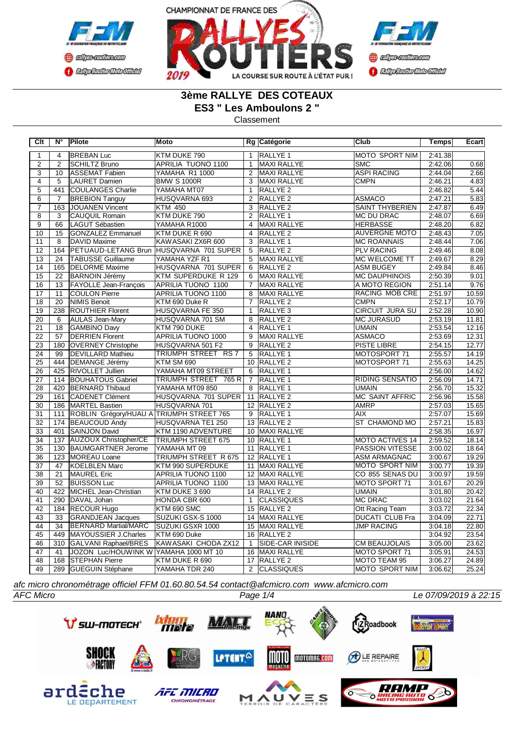





# **3ème RALLYE DES COTEAUX**

**ES3 " Les Amboulons 2 "**

Classement

| Clt             | N°               | Pilote                                           | <b>Moto</b>                             |                 | Rg Catégorie            | lClub                  | <b>Temps</b> | <b>Ecart</b> |
|-----------------|------------------|--------------------------------------------------|-----------------------------------------|-----------------|-------------------------|------------------------|--------------|--------------|
| 1               | 4                | <b>BREBAN Luc</b>                                | KTM DUKE 790                            | $\mathbf{1}$    | RALLYE <sub>1</sub>     | IMOTO SPORT NIM        | 2:41.38      |              |
| $\overline{2}$  | $\overline{2}$   | <b>SCHILTZ Bruno</b>                             | APRILIA TUONO 1100                      | $\overline{1}$  | MAXI RALLYE             | <b>SMC</b>             | 2:42.06      | 0.68         |
| $\overline{3}$  | 10               | ASSEMAT Fabien                                   | YAMAHA R1 1000                          | $\overline{2}$  | MAXI RALLYE             | <b>ASPI RACING</b>     | 2:44.04      | 2.66         |
| $\overline{4}$  | $\overline{5}$   | LAURET Damien                                    | <b>BMW S 1000R</b>                      | $\overline{3}$  | <b>MAXI RALLYE</b>      | <b>CMPN</b>            | 2:46.21      | 4.83         |
| $\overline{5}$  | 441              | COULANGES Charlie                                | YAMAHA MT07                             | $\mathbf{1}$    | RALLYE <sub>2</sub>     |                        | 2:46.82      | 5.44         |
| $\overline{6}$  | $\overline{7}$   | <b>BREBION Tanguy</b>                            | HUSQVARNA 693                           | $\overline{2}$  | RALLYE <sub>2</sub>     | ASMACO                 | 2:47.21      | 5.83         |
| $\overline{7}$  | 163              | JOUANEN Vincent                                  | <b>KTM 450</b>                          | 3               | RALLYE <sub>2</sub>     | SAINT THYBERIEN        | 2:47.87      | 6.49         |
| $\overline{8}$  | $\overline{3}$   | <b>CAUQUIL Romain</b>                            | KTM DUKE 790                            | $\overline{2}$  | <b>RALLYE 1</b>         | <b>MC DU DRAC</b>      | 2:48.07      | 6.69         |
| $\overline{9}$  | 66               | LAGUT Sébastien                                  | YAMAHA R1000                            | 4               | <b>MAXI RALLYE</b>      | <b>HERBASSE</b>        | 2:48.20      | 6.82         |
| 10              | 15               | GONZALEZ Emmanuel                                | KTM DUKE R 690                          | $\overline{4}$  | RALLYE <sub>2</sub>     | <b>AUVERGNE MOTO</b>   | 2:48.43      | 7.05         |
| 11              | 8                | DAVID Maxime                                     | KAWASAKI ZX6R 600                       | 3               | RALLYE <sub>1</sub>     | <b>MC ROANNAIS</b>     | 2:48.44      | 7.06         |
| 12              | 164              |                                                  | PETUAUD-LETANG Brun HUSQVARNA 701 SUPER | $\overline{5}$  | RALLYE <sub>2</sub>     | <b>PLV RACING</b>      | 2:49.46      | 8.08         |
| 13              | 24               | <b>TABUSSE Guillaume</b>                         | YAMAHA YZF R1                           | 5               | MAXI RALLYE             | MC WELCOME TT          | 2:49.67      | 8.29         |
| $\overline{14}$ | 165              | <b>DELORME</b> Maxime                            | HUSQVARNA 701 SUPER                     | 6               | RALLYE <sub>2</sub>     | <b>ASM BUGEY</b>       | 2:49.84      | 8.46         |
| $\overline{15}$ | 22               | <b>BARNOIN Jérémy</b>                            | KTM SUPERDUKE R 129                     | 6               | <b>MAXI RALLYE</b>      | <b>MC DAUPHINOIS</b>   | 2:50.39      | 9.01         |
| 16              | 13               | <b>FAYOLLE Jean-Francois</b>                     | APRILIA TUONO 1100                      | $\overline{7}$  | <b>MAXI RALLYE</b>      | A MOTO REGION          | 2:51.14      | 9.76         |
| 17              | 11               | COULON Pierre                                    | APRILIA TUONO 1100                      | 8               | MAXI RALLYE             | <b>RACING MOB CRE</b>  | 2:51.97      | 10.59        |
| $\overline{18}$ | $\overline{20}$  | NIMIS Benoit                                     | KTM 690 Duke R                          | $\overline{7}$  | RALLYE <sub>2</sub>     | <b>CMPN</b>            | 2:52.17      | 10.79        |
| 19              | 238              | <b>ROUTHIER Florent</b>                          | HUSQVARNA FE 350                        | $\mathbf{1}$    | RALLYE <sub>3</sub>     | <b>CIRCUIT JURA SU</b> | 2:52.28      | 10.90        |
| $\overline{20}$ | 6                | AULAS Jean-Mary                                  | HUSQVARNA 701 SM                        | 8               | RALLYE <sub>2</sub>     | <b>MC JURASUD</b>      | 2:53.19      | 11.81        |
| 21              | $\overline{18}$  | <b>GAMBINO Davy</b>                              | KTM 790 DUKE                            | $\overline{4}$  | <b>RALLYE 1</b>         | <b>UMAIN</b>           | 2:53.54      | 12.16        |
| $\overline{22}$ | 57               | <b>DERRIEN Florent</b>                           | APRILIA TUONO 1000                      | $\overline{9}$  | MAXI RALLYE             | ASMACO                 | 2:53.69      | 12.31        |
| 23              | 180              | <b>OVERNEY Christophe</b>                        | HUSQVARNA 501 F2                        | $\overline{9}$  | <b>RALLYE 2</b>         | <b>PISTE LIBRE</b>     | 2:54.15      | 12.77        |
| $\overline{24}$ | 99               | <b>DEVILLARD Mathieu</b>                         | <b>TRIUMPH STREET RS 7</b>              | 5               | RALLYE <sub>1</sub>     | MOTOSPORT 71           | 2:55.57      | 14.19        |
| $\overline{25}$ | 444              | DEMANGE Jérémy                                   | KTM SM 690                              |                 | 10 RALLYE 2             | MOTOSPORT 71           | 2:55.63      | 14.25        |
| $\overline{26}$ | 425              | <b>RIVOLLET Jullien</b>                          | YAMAHA MT09 STREET                      | 6               | RALLYE <sub>1</sub>     |                        | 2:56.00      | 14.62        |
| $\overline{27}$ | 114              | <b>BOUHATOUS Gabriel</b>                         | TRIUMPH STREET 765 R                    | $\overline{7}$  | RALLYE 1                | <b>RIDING SENSATIO</b> | 2:56.09      | 14.71        |
| $\overline{28}$ |                  | 420 BERNARD Thibaud                              | YAMAHA MT09 850                         | 8               | RALLYE <sub>1</sub>     | <b>UMAIN</b>           | 2:56.70      | 15.32        |
| 29              | 161              | <b>CADENET Clément</b>                           | HUSQVARNA 701 SUPER                     |                 | 11 RALLYE 2             | <b>MC SAINT AFFRIC</b> | 2:56.96      | 15.58        |
| 30              |                  | 186   MARTEL Bastien                             | HUSQVARNA 701                           |                 | 12 RALLYE 2             | <b>AMRP</b>            | 2:57.03      | 15.65        |
| 31              |                  | 111   ROBLIN Grégory/HUAU A   TRIUMPH STREET 765 |                                         | 9               | RALLYE 1                | <b>AIX</b>             | 2:57.07      | 15.69        |
| $\overline{32}$ |                  | 174 BEAUCOUD Andy                                | HUSQVARNA TE1 250                       |                 | 13 RALLYE 2             | ST CHAMOND MO          | 2:57.21      | 15.83        |
| 33              | 401              | <b>SAINJON David</b>                             | KTM 1190 ADVENTURE                      |                 | 10 MAXI RALLYE          |                        | 2:58.35      | 16.97        |
| $\overline{34}$ | 137              | AUZOUX Christopher/CE                            | <b>TRIUMPH STREET 675</b>               |                 | 10 RALLYE 1             | <b>MOTO ACTIVES 14</b> | 2:59.52      | 18.14        |
| $\overline{35}$ | 130              | <b>BAUMGARTNER Jerome</b>                        | YAMAHA MT 09                            | 11              | RALLYE 1                | <b>PASSION VITESSE</b> | 3:00.02      | 18.64        |
| $\overline{36}$ | 123              | MOREAU Loane                                     | <b>TRIUMPH STREET R 675</b>             |                 | 12 RALLYE 1             | <b>ASM ARMAGNAC</b>    | 3:00.67      | 19.29        |
| 37              | 47               | KOELBLEN Marc                                    | KTM 990 SUPERDUKE                       |                 | 11 MAXI RALLYE          | MOTO SPORT NIM         | 3:00.77      | 19.39        |
| 38              | 21               | MAUREL Eric                                      | APRILIA TUONO 1100                      | 12 <sup>2</sup> | MAXI RALLYE             | CO 855 SENAS DU        | 3:00.97      | 19.59        |
| 39              | 52               | <b>BUISSON Luc</b>                               | APRILIA TUONO 1100                      |                 | 13 MAXI RALLYE          | MOTO SPORT 71          | 3:01.67      | 20.29        |
| 40              | 422              | MICHEL Jean-Christian                            | KTM DUKE 3 690                          |                 | 14 RALLYE 2             | <b>UMAIN</b>           | 3:01.80      | 20.42        |
| 41              | 290              | DAVAL Johan                                      | HONDA CBR 600                           | $\overline{1}$  | <b>CLASSIQUES</b>       | <b>MC DRAC</b>         | 3:03.02      | 21.64        |
| $\overline{42}$ | 184              | <b>RECOUR Hugo</b>                               | KTM 690 SMC                             | 15              | RALLYE <sub>2</sub>     | Ott Racing Team        | 3:03.72      | 22.34        |
| 43              | 33               | <b>GRANDJEAN Jacques</b>                         | SUZUKI GSX-S 1000                       |                 | 14 MAXI RALLYE          | <b>DUCATI CLUB Fra</b> | 3:04.09      | 22.71        |
| 44              | $\overline{34}$  | <b>BERNARD Martial/MARC</b>                      | SUZUKI GSXR 1000                        | 15              | MAXI RALLYE             | <b>JMP RACING</b>      | 3:04.18      | 22.80        |
| 45              | 449              | MAYOUSSIER J.Charles                             | KTM 690 Duke                            | 16              | <b>RALLYE 2</b>         |                        | 3:04.92      | 23.54        |
| 46              | $\overline{310}$ | GALVANI Raphael/BRES                             | KAWASAKI CHODA ZX12                     | $\mathbf{1}$    | <b>SIDE-CAR INISIDE</b> | <b>CM BEAUJOLAIS</b>   | 3:05.00      | 23.62        |
| 47              | 41               | JOZON Luc/HOUWINK W YAMAHA 1000 MT 10            |                                         |                 | 16 MAXI RALLYE          | MOTO SPORT 71          | 3:05.91      | 24.53        |
| 48              | 168              | <b>STEPHAN Pierre</b>                            | KTM DUKE R 690                          | 17              | <b>RALLYE 2</b>         | MOTO TEAM 95           | 3:06.27      | 24.89        |
| 49              |                  | 289 GUEGUIN Stéphane                             | YAMAHA TDR 240                          | 2               | <b>CLASSIQUES</b>       | MOTO SPORT NIM         | 3:06.62      | 25.24        |

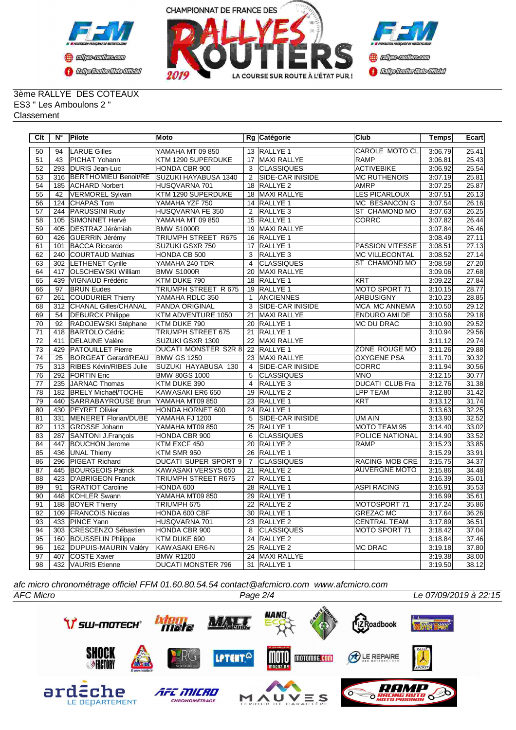



#### 3ème RALLYE DES COTEAUX ES3 " Les Amboulons 2 " Classement

| Clt             | N°               | Pilote                      | <b>Moto</b>                 |                 | Rg Catégorie             | <b>Club</b>            | Temps   | Ecart |
|-----------------|------------------|-----------------------------|-----------------------------|-----------------|--------------------------|------------------------|---------|-------|
| 50              | 94               | <b>LARUE Gilles</b>         | YAMAHA MT 09 850            |                 | 13 RALLYE 1              | <b>CAROLE MOTO CL</b>  | 3:06.79 | 25.41 |
| 51              | 43               | PICHAT Yohann               | KTM 1290 SUPERDUKE          |                 | 17 MAXI RALLYE           | <b>RAMP</b>            | 3:06.81 | 25.43 |
| $\overline{52}$ | 293              | <b>DURIS Jean-Luc</b>       | HONDA CBR 900               | $\overline{3}$  | <b>CLASSIQUES</b>        | <b>ACTIVEBIKE</b>      | 3:06.92 | 25.54 |
| 53              | 316              | <b>BERTHOMIEU Benoit/RE</b> | SUZUKI HAYABUSA 1340        | 2               | <b>ISIDE-CAR INISIDE</b> | <b>MC RUTHENOIS</b>    | 3:07.19 | 25.81 |
| 54              | 185              | <b>ACHARD Norbert</b>       | HUSQVARNA 701               |                 | 18 RALLYE 2              | <b>AMRP</b>            | 3:07.25 | 25.87 |
| 55              | 42               | VERMOREL Sylvain            | KTM 1290 SUPERDUKE          |                 | 18 MAXI RALLYE           | <b>LES PICARLOUX</b>   | 3:07.51 | 26.13 |
| 56              | 124              | <b>CHAPAS Tom</b>           | YAMAHA YZF 750              |                 | 14 RALLYE 1              | MC BESANCON G          | 3:07.54 | 26.16 |
| $\overline{57}$ | 244              | <b>PARUSSINI Rudy</b>       | HUSQVARNA FE 350            | $\overline{2}$  | RALLYE <sub>3</sub>      | ST CHAMOND MO          | 3:07.63 | 26.25 |
| $\overline{58}$ | 105              | SIMONNET Hervé              | YAMAHA MT 09 850            |                 | 15 RALLYE 1              | <b>CORRC</b>           | 3:07.82 | 26.44 |
| $\overline{59}$ | 405              | DESTRAZ Jérémiah            | <b>BMW S1000R</b>           | 19              | <b>MAXI RALLYE</b>       |                        | 3:07.84 | 26.46 |
| 60              | 426              | GUERRIN Jérémy              | <b>TRIUMPH STREET R675</b>  |                 | 16 RALLYE 1              |                        | 3:08.49 | 27.11 |
| 61              | 101              | <b>BACCA Riccardo</b>       | SUZUKI GSXR 750             | 17              | RALLYE <sub>1</sub>      | <b>PASSION VITESSE</b> | 3:08.51 | 27.13 |
| 62              | 240              | <b>COURTAUD Mathias</b>     | HONDA CB 500                | $\overline{3}$  | RALLYE <sub>3</sub>      | <b>MC VILLECONTAL</b>  | 3:08.52 | 27.14 |
| 63              | $\overline{302}$ | <b>LETHENET Cyrille</b>     | YAMAHA 240 TDR              | $\overline{4}$  | <b>CLASSIQUES</b>        | <b>ST CHAMOND MO</b>   | 3:08.58 | 27.20 |
| 64              | 417              | <b>OLSCHEWSKI William</b>   | <b>BMW S1000R</b>           | 20              | <b>MAXI RALLYE</b>       |                        | 3:09.06 | 27.68 |
| 65              | 439              | VIGNAUD Frédéric            | KTM DUKE 790                |                 | 18 RALLYE 1              | <b>KRT</b>             | 3:09.22 | 27.84 |
| 66              | 97               | <b>BRUN Eudes</b>           | <b>TRIUMPH STREET R 675</b> |                 | 19 RALLYE 1              | MOTO SPORT 71          | 3:10.15 | 28.77 |
| $\overline{67}$ | 261              | <b>COUDURIER Thierry</b>    | YAMAHA RDLC 350             | $\overline{1}$  | <b>ANCIENNES</b>         | <b>ARBUSIGNY</b>       | 3:10.23 | 28.85 |
| 68              | $\overline{312}$ | <b>CHANAL Gilles/CHANAL</b> | PANDA ORIGINAL              | $\overline{3}$  | <b>SIDE-CAR INISIDE</b>  | <b>MCA MC ANNEMA</b>   | 3:10.50 | 29.12 |
| 69              | 54               | <b>DEBURCK Philippe</b>     | KTM ADVENTURE 1050          | $\overline{21}$ | <b>MAXI RALLYE</b>       | <b>ENDURO AMI DE</b>   | 3:10.56 | 29.18 |
| 70              | 92               | RADOJEWSKI Stéphane         | KTM DUKE 790                |                 | 20 RALLYE 1              | <b>MC DU DRAC</b>      | 3:10.90 | 29.52 |
| $\overline{71}$ | 418              | <b>BARTOLO Cédric</b>       | <b>TRIUMPH STREET 675</b>   |                 | 21 RALLYE 1              |                        | 3:10.94 | 29.56 |
| 72              | 411              | <b>DELAUNE Valère</b>       | SUZUKI GSXR 1300            |                 | 22 MAXI RALLYE           |                        | 3:11.12 | 29.74 |
| 73              | 429              | <b>PATOUILLET Pierre</b>    | <b>DUCATI MONSTER S2R 8</b> |                 | 22 RALLYE 1              | ZONE ROUGE MO          | 3:11.26 | 29.88 |
| $\overline{74}$ | 25               | <b>BORGEAT Gerard/REAU</b>  | <b>BMW GS 1250</b>          |                 | 23 MAXI RALLYE           | <b>OXYGENE PSA</b>     | 3:11.70 | 30.32 |
| 75              | 313              | RIBES Kévin/RIBES Julie     | SUZUKI HAYABUSA 130         | $\overline{4}$  | <b>SIDE-CAR INISIDE</b>  | <b>CORRC</b>           | 3:11.94 | 30.56 |
| 76              | 292              | <b>FORTIN Eric</b>          | <b>BMW 80GS 1000</b>        | $\overline{5}$  | <b>CLASSIQUES</b>        | <b>MNO</b>             | 3:12.15 | 30.77 |
| $\overline{77}$ | 235              | JARNAC Thomas               | KTM DUKE 390                | $\overline{4}$  | <b>RALLYE 3</b>          | <b>DUCATI CLUB Fra</b> | 3:12.76 | 31.38 |
| $\overline{78}$ | 182              | <b>BRELY Michaël/TOCHE</b>  | KAWASAKI ER6 650            | $\overline{19}$ | <b>RALLYE 2</b>          | <b>LPP TEAM</b>        | 3:12.80 | 31.42 |
| 79              | 440              | <b>SARRABAYROUSE Brun</b>   | YAMAHA MT09 850             |                 | 23 RALLYE 1              | <b>KRT</b>             | 3:13.12 | 31.74 |
| $\overline{80}$ | 430              | <b>PEYRET Olivier</b>       | HONDA HORNET 600            | $\overline{24}$ | <b>RALLYE 1</b>          |                        | 3:13.63 | 32.25 |
| $\overline{81}$ | 331              | MENERET Florian/DUBE        | YAMAHA FJ 1200              | 5               | <b>SIDE-CAR INISIDE</b>  | UM AIN                 | 3:13.90 | 32.52 |
| 82              | 113              | <b>GROSSE Johann</b>        | YAMAHA MT09 850             | 25              | RALLYE <sub>1</sub>      | MOTO TEAM 95           | 3:14.40 | 33.02 |
| 83              | 287              | <b>SANTONI J.François</b>   | HONDA CBR 900               | 6               | <b>CLASSIQUES</b>        | POLICE NATIONAL        | 3:14.90 | 33.52 |
| 84              | 447              | <b>BOUCHON Jerome</b>       | KTM EXCF 450                | $\overline{20}$ | RALLYE <sub>2</sub>      | RAMP                   | 3:15.23 | 33.85 |
| 85              | 436              | <b>UNAL Thierry</b>         | KTM SMR 950                 |                 | 26 RALLYE 1              |                        | 3:15.29 | 33.91 |
| 86              | 296              | PIGEAT Richard              | <b>DUCATI SUPER SPORT 9</b> | $\overline{7}$  | <b>CLASSIQUES</b>        | RACING MOB CRE         | 3:15.75 | 34.37 |
| 87              | 445              | <b>BOURGEOIS Patrick</b>    | KAWASAKI VERSYS 650         |                 | 21 RALLYE 2              | <b>AUVERGNE MOTO</b>   | 3:15.86 | 34.48 |
| $\overline{88}$ | 423              | <b>D'ABRIGEON Franck</b>    | TRIUMPH STREET R675         | 27              | RALLYE <sub>1</sub>      |                        | 3:16.39 | 35.01 |
| 89              | 91               | <b>GRATIOT Caroline</b>     | HONDA 600                   |                 | 28 RALLYE 1              | <b>ASPI RACING</b>     | 3:16.91 | 35.53 |
| 90              | 448              | <b>KOHLER Swann</b>         | YAMAHA MT09 850             |                 | 29 RALLYE 1              |                        | 3:16.99 | 35.61 |
| $\overline{91}$ | 188              | <b>BOYER Thierry</b>        | TRIUMPH 675                 |                 | 22 RALLYE 2              | MOTOSPORT 71           | 3:17.24 | 35.86 |
| $\overline{92}$ | 109              | <b>FRANCOIS Nicolas</b>     | HONDA 600 CBF               |                 | 30 RALLYE 1              | <b>GREZAC MC</b>       | 3:17.64 | 36.26 |
| 93              | 433              | PINCE Yann                  | HUSQVARNA 701               |                 | 23 RALLYE 2              | <b>CENTRAL TEAM</b>    | 3:17.89 | 36.51 |
| 94              | 303              | CRESCENZO Sébastien         | HONDA CBR 900               | $\overline{8}$  | <b>CLASSIQUES</b>        | MOTO SPORT 71          | 3:18.42 | 37.04 |
| 95              | 160              | <b>BOUSSELIN Philippe</b>   | KTM DUKE 690                |                 | 24 RALLYE 2              |                        | 3:18.84 | 37.46 |
| 96              | 162              | <b>DUPUIS-MAURIN Valéry</b> | KAWASAKI ER6-N              |                 | 25 RALLYE 2              | <b>MC DRAC</b>         | 3:19.18 | 37.80 |
| $\overline{97}$ | 407              | <b>COSTE Xavier</b>         | <b>BMW R1200</b>            | $\overline{24}$ | MAXI RALLYE              |                        | 3:19.38 | 38.00 |
| 98              |                  | 432 VAURIS Etienne          | <b>DUCATI MONSTER 796</b>   |                 | 31 RALLYE 1              |                        | 3:19.50 | 38.12 |

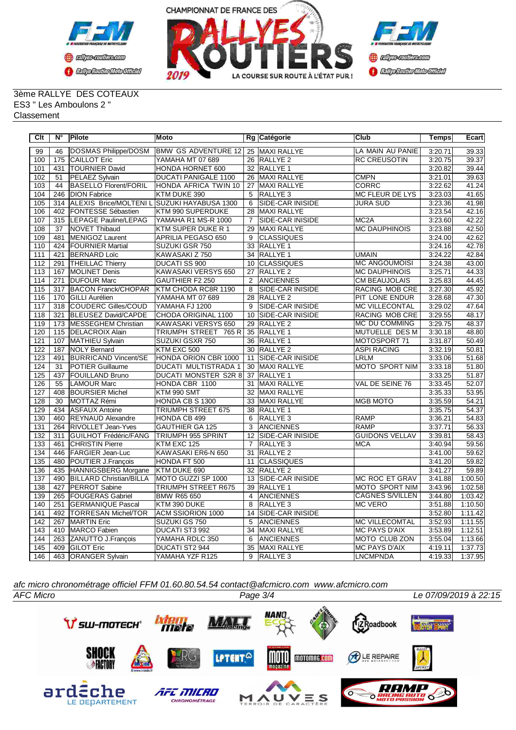



#### 3ème RALLYE DES COTEAUX ES3 " Les Amboulons 2 " Classement

| Clt | N°  | <b>Pilote</b>                  | Moto                        |                | Rg Catégorie             | <b>Club</b>            | Temps   | Ecart   |
|-----|-----|--------------------------------|-----------------------------|----------------|--------------------------|------------------------|---------|---------|
| 99  | 46  | DOSMAS Philippe/DOSM           | <b>BMW GS ADVENTURE 12</b>  |                | 25 MAXI RALLYE           | LA MAIN AU PANIE       | 3:20.71 | 39.33   |
| 100 | 175 | <b>CAILLOT Eric</b>            | YAMAHA MT 07 689            | 26             | <b>RALLYE 2</b>          | <b>RC CREUSOTIN</b>    | 3:20.75 | 39.37   |
| 101 | 431 | <b>TOURNIER David</b>          | HONDA HORNET 600            |                | 32 RALLYE 1              |                        | 3:20.82 | 39.44   |
| 102 | 51  | PELAEZ Sylvain                 | <b>DUCATI PANIGALE 1100</b> | 26             | <b>MAXI RALLYE</b>       | <b>CMPN</b>            | 3:21.01 | 39.63   |
| 103 | 44  | <b>BASELLO Florent/FORIL</b>   | HONDA AFRICA TWIN 10        | 27             | <b>MAXI RALLYE</b>       | <b>CORRC</b>           | 3:22.62 | 41.24   |
| 104 | 246 | <b>DION Fabrice</b>            | KTM DUKE 390                | 5              | RALLYE <sub>3</sub>      | MC FLEUR DE LYS        | 3:23.03 | 41.65   |
| 105 | 314 | ALEXIS Brice/MOLTENIL          | SUZUKI HAYABUSA 1300        | 6              | <b>SIDE-CAR INISIDE</b>  | <b>JURA SUD</b>        | 3:23.36 | 41.98   |
| 106 | 402 | <b>FONTESSE Sébastien</b>      | KTM 990 SUPERDUKE           | 28             | MAXI RALLYE              |                        | 3:23.54 | 42.16   |
| 107 | 315 | LEPAGE Pauline/LEPAG           | YAMAHA R1 MS-R 1000         | $\overline{7}$ | <b>SIDE-CAR INISIDE</b>  | MC <sub>2</sub> A      | 3:23.60 | 42.22   |
| 108 | 37  | NOVET Thibaud                  | KTM SUPER DUKE R 1          | 29             | <b>MAXI RALLYE</b>       | <b>MC DAUPHINOIS</b>   | 3:23.88 | 42.50   |
| 109 | 481 | MENIGOZ Laurent                | <b>APRILIA PEGASO 650</b>   | 9              | <b>CLASSIQUES</b>        |                        | 3:24.00 | 42.62   |
| 110 | 424 | <b>FOURNIER Martial</b>        | SUZUKI GSR 750              |                | 33 RALLYE 1              |                        | 3:24.16 | 42.78   |
| 111 | 421 | <b>BERNARD Loïc</b>            | KAWASAKI Z 750              |                | 34 RALLYE 1              | <b>UMAIN</b>           | 3:24.22 | 42.84   |
| 112 | 291 | <b>THEILLAC Thierry</b>        | DUCATI SS 900               | 10             | <b>CLASSIQUES</b>        | MC ANGOUMOISI          | 3:24.38 | 43.00   |
| 113 | 167 | <b>MOLINET Denis</b>           | KAWASAKI VERSYS 650         | 27             | <b>RALLYE 2</b>          | <b>MC DAUPHINOIS</b>   | 3:25.71 | 44.33   |
| 114 | 271 | <b>DUFOUR Marc</b>             | GAUTHIER F2 250             | $\overline{2}$ | <b>ANCIENNES</b>         | <b>CM BEAUJOLAIS</b>   | 3:25.83 | 44.45   |
| 115 | 317 | <b>BACON Franck/CHOPAR</b>     | KTM CHODA RC8R 1190         | 8              | <b>SIDE-CAR INISIDE</b>  | <b>RACING MOB CRE</b>  | 3:27.30 | 45.92   |
| 116 | 170 | <b>GILLI</b> Aurélien          | YAMAHA MT 07 689            | 28             | <b>RALLYE 2</b>          | PIT LONE ENDUR         | 3:28.68 | 47.30   |
| 117 | 318 | COUDERC Gilles/COUD            | YAMAHA FJ 1200              | 9              | SIDE-CAR INISIDE         | <b>MC VILLECONTAL</b>  | 3:29.02 | 47.64   |
| 118 | 321 | BLEUSEZ David/CAPDE            | CHODA ORIGINAL 1100         | 10             | <b>ISIDE-CAR INISIDE</b> | RACING MOB CRE         | 3:29.55 | 48.17   |
| 119 | 173 | MESSEGHEM Christian            | KAWASAKI VERSYS 650         | 29             | RALLYE <sub>2</sub>      | MC DU COMMING          | 3:29.75 | 48.37   |
| 120 |     | 115   DELACROIX Alain          | TRIUMPH STREET<br>765 R     |                | 35 RALLYE 1              | MUTUELLE DES M         | 3:30.18 | 48.80   |
| 121 | 107 | MATHIEU Sylvain                | SUZUKI GSXR 750             | 36             | <b>RALLYE 1</b>          | MOTOSPORT 71           | 3:31.87 | 50.49   |
| 122 | 187 | <b>NOLY Bernard</b>            | KTM EXC 500                 | 30             | RALLYE <sub>2</sub>      | <b>ASPI RACING</b>     | 3:32.19 | 50.81   |
| 123 | 491 | <b>BURRICAND Vincent/SE</b>    | HONDA ORION CBR 1000        | 11             | <b>SIDE-CAR INISIDE</b>  | <b>LRLM</b>            | 3:33.06 | 51.68   |
| 124 | 31  | <b>POTIER Guillaume</b>        | DUCATI MULTISTRADA 1        | 30             | <b>MAXI RALLYE</b>       | <b>MOTO SPORT NIM</b>  | 3:33.18 | 51.80   |
| 125 | 437 | <b>FOUILLAND Bruno</b>         | DUCATI MONSTER S2R 8        | 37             | RALLYE 1                 |                        | 3:33.25 | 51.87   |
| 126 | 55  | LAMOUR Marc                    | HONDA CBR 1100              | 31             | <b>MAXI RALLYE</b>       | VAL DE SEINE 76        | 3:33.45 | 52.07   |
| 127 | 408 | <b>BOURSIER Michel</b>         | KTM 990 SMT                 | 32             | <b>MAXI RALLYE</b>       |                        | 3:35.33 | 53.95   |
| 128 | 30  | MOTTAZ Rémi                    | HONDA CB S 1300             | 33             | <b>MAXI RALLYE</b>       | <b>MGB MOTO</b>        | 3:35.59 | 54.21   |
| 129 | 434 | <b>ASFAUX Antoine</b>          | TRIUMPH STREET 675          | 38             | <b>RALLYE 1</b>          |                        | 3:35.75 | 54.37   |
| 130 | 460 | <b>REYNAUD Alexandre</b>       | HONDA CB 499                | 6              | RALLYE 3                 | <b>RAMP</b>            | 3:36.21 | 54.83   |
| 131 | 264 | <b>RIVOLLET Jean-Yves</b>      | <b>GAUTHIER GA 125</b>      | 3              | <b>ANCIENNES</b>         | RAMP                   | 3:37.71 | 56.33   |
| 132 | 311 | <b>IGUILHOT Frédéric/FANG</b>  | TRIUMPH 955 SPRINT          | 12             | <b>SIDE-CAR INISIDE</b>  | <b>GUIDONS VELLAV</b>  | 3:39.81 | 58.43   |
| 133 | 461 | <b>CHRISTIN Pierre</b>         | KTM EXC 125                 | $\overline{7}$ | RALLYE <sub>3</sub>      | <b>MCA</b>             | 3:40.94 | 59.56   |
| 134 | 446 | <b>FARGIER Jean-Luc</b>        | KAWASAKI ER6-N 650          | 31             | RALLYE <sub>2</sub>      |                        | 3:41.00 | 59.62   |
| 135 | 480 | POUTIER J.François             | HONDA FT 500                | 11             | <b>CLASSIQUES</b>        |                        | 3:41.20 | 59.82   |
| 136 | 435 | HANNIGSBERG Morgane            | KTM DUKE 690                | 32             | <b>RALLYE 2</b>          |                        | 3:41.27 | 59.89   |
| 137 | 490 | <b>BILLARD Christian/BILLA</b> | MOTO GUZZI SP 1000          | 13             | SIDE-CAR INISIDE         | MC ROC ET GRAV         | 3:41.88 | 1:00.50 |
| 138 | 427 | <b>PERROT Sabine</b>           | <b>TRIUMPH STREET R675</b>  | 39             | <b>RALLYE 1</b>          | <b>MOTO SPORT NIM</b>  | 3:43.96 | 1:02.58 |
| 139 | 265 | <b>FOUGERAS Gabriel</b>        | <b>BMW R65 650</b>          | 4              | <b>ANCIENNES</b>         | <b>CAGNES S/VILLEN</b> | 3:44.80 | 1:03.42 |
| 140 | 251 | <b>GERMANIQUE Pascal</b>       | KTM 390 DUKE                | 8              | RALLYE <sub>3</sub>      | <b>MC VERO</b>         | 3:51.88 | 1:10.50 |
| 141 | 492 | TORRESAN Michel/TOR            | ACM SSIORION 1000           | 14             | <b>SIDE-CAR INISIDE</b>  |                        | 3:52.80 | 1:11.42 |
| 142 | 267 | MARTIN Eric                    | SUZUKI GS 750               | 5              | <b>ANCIENNES</b>         | <b>MC VILLECOMTAL</b>  | 3:52.93 | 1:11.55 |
| 143 | 410 | MARCO Fabien                   | DUCATI ST3 992              | 34             | MAXI RALLYE              | <b>MC PAYS D'AIX</b>   | 3:53.89 | 1:12.51 |
| 144 | 263 | ZANUTTO J.François             | YAMAHA RDLC 350             | 6              | <b>ANCIENNES</b>         | <b>MOTO CLUB ZON</b>   | 3:55.04 | 1:13.66 |
| 145 | 409 | <b>GILOT Eric</b>              | DUCATI ST2 944              | 35             | MAXI RALLYE              | <b>MC PAYS D'AIX</b>   | 4:19.11 | 1:37.73 |
| 146 | 463 | <b>ORANGER Sylvain</b>         | YAMAHA YZF R125             | $\overline{9}$ | RALLYE <sub>3</sub>      | <b>LNCMPNDA</b>        | 4:19.33 | 1:37.95 |